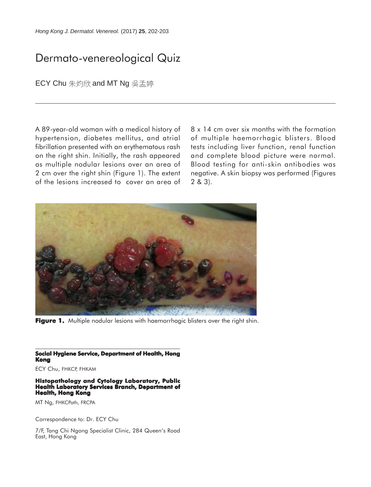## Dermato-venereological Quiz

ECY Chu 朱灼欣 and MT Ng 吴孟婷

A 89-year-old woman with a medical history of hypertension, diabetes mellitus, and atrial fibrillation presented with an erythematous rash on the right shin. Initially, the rash appeared as multiple nodular lesions over an area of 2 cm over the right shin (Figure 1). The extent of the lesions increased to cover an area of 8 x 14 cm over six months with the formation of multiple haemorrhagic blisters. Blood tests including liver function, renal function and complete blood picture were normal. Blood testing for anti-skin antibodies was negative. A skin biopsy was performed (Figures 2 & 3).



**Figure 1.** Multiple nodular lesions with haemorrhagic blisters over the right shin.

**Social Hygiene Service, Department of Health, Hong Kong**

ECY Chu, FHKCP, FHKAM

## **Histopathology and Cytology Laboratory, Public Health Laboratory Services Branch, Department of Health, Hong Kong**

MT Ng, FHKCPath, FRCPA

Correspondence to: Dr. ECY Chu

7/F, Tang Chi Ngong Specialist Clinic, 284 Queen's Road East, Hong Kong